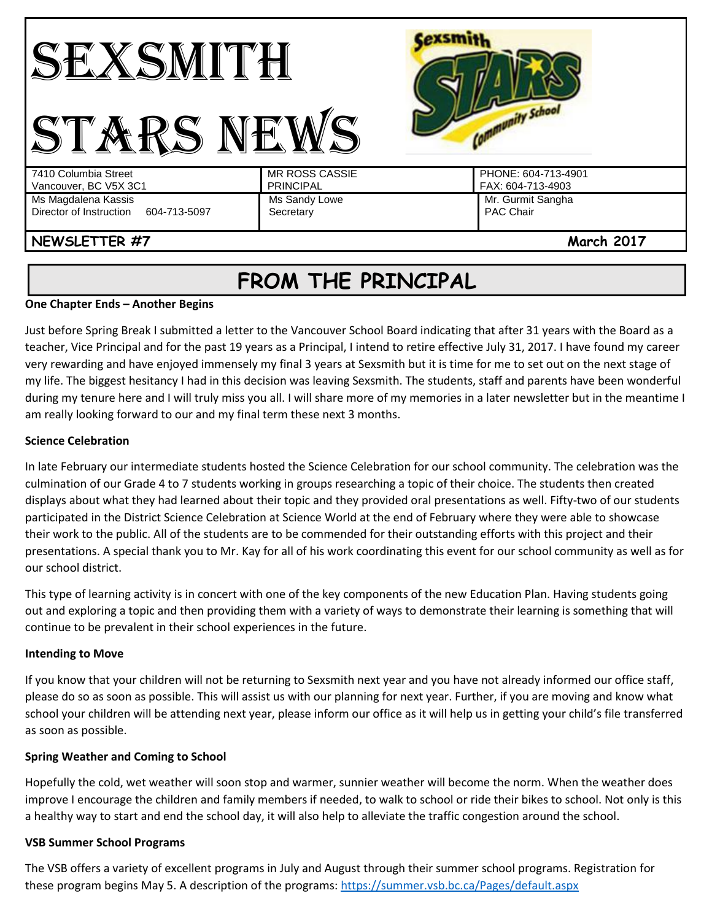

# **FROM THE PRINCIPAL**

#### **One Chapter Ends – Another Begins**

Just before Spring Break I submitted a letter to the Vancouver School Board indicating that after 31 years with the Board as a teacher, Vice Principal and for the past 19 years as a Principal, I intend to retire effective July 31, 2017. I have found my career very rewarding and have enjoyed immensely my final 3 years at Sexsmith but it is time for me to set out on the next stage of my life. The biggest hesitancy I had in this decision was leaving Sexsmith. The students, staff and parents have been wonderful during my tenure here and I will truly miss you all. I will share more of my memories in a later newsletter but in the meantime I am really looking forward to our and my final term these next 3 months.

## **Science Celebration**

In late February our intermediate students hosted the Science Celebration for our school community. The celebration was the culmination of our Grade 4 to 7 students working in groups researching a topic of their choice. The students then created displays about what they had learned about their topic and they provided oral presentations as well. Fifty-two of our students participated in the District Science Celebration at Science World at the end of February where they were able to showcase their work to the public. All of the students are to be commended for their outstanding efforts with this project and their presentations. A special thank you to Mr. Kay for all of his work coordinating this event for our school community as well as for our school district.

This type of learning activity is in concert with one of the key components of the new Education Plan. Having students going out and exploring a topic and then providing them with a variety of ways to demonstrate their learning is something that will continue to be prevalent in their school experiences in the future.

## **Intending to Move**

If you know that your children will not be returning to Sexsmith next year and you have not already informed our office staff, please do so as soon as possible. This will assist us with our planning for next year. Further, if you are moving and know what school your children will be attending next year, please inform our office as it will help us in getting your child's file transferred as soon as possible.

## **Spring Weather and Coming to School**

Hopefully the cold, wet weather will soon stop and warmer, sunnier weather will become the norm. When the weather does improve I encourage the children and family members if needed, to walk to school or ride their bikes to school. Not only is this a healthy way to start and end the school day, it will also help to alleviate the traffic congestion around the school.

## **VSB Summer School Programs**

The VSB offers a variety of excellent programs in July and August through their summer school programs. Registration for these program begins May 5. A description of the programs:<https://summer.vsb.bc.ca/Pages/default.aspx>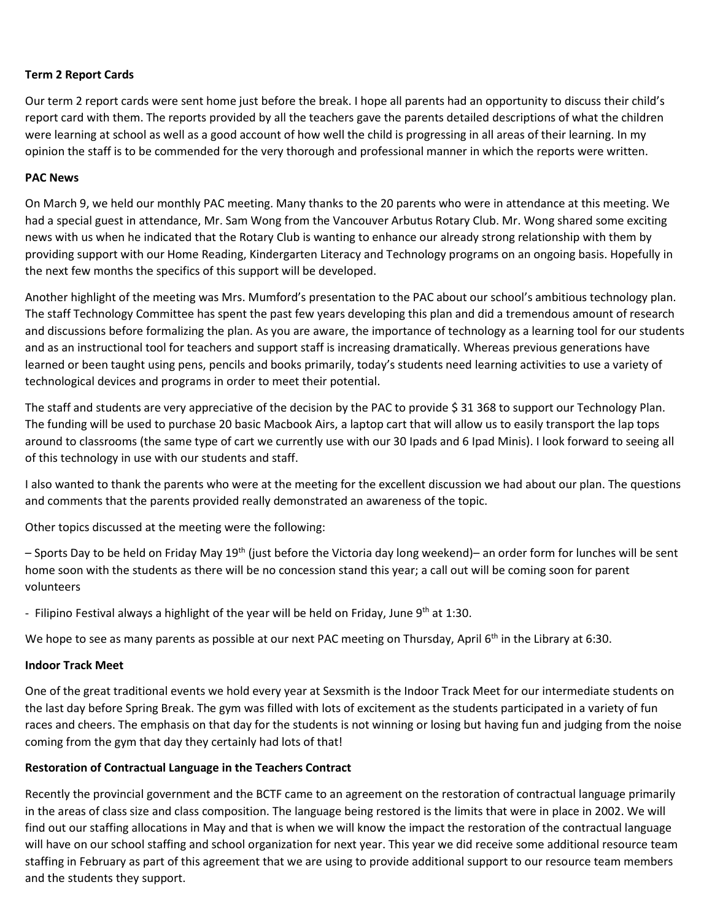## **Term 2 Report Cards**

Our term 2 report cards were sent home just before the break. I hope all parents had an opportunity to discuss their child's report card with them. The reports provided by all the teachers gave the parents detailed descriptions of what the children were learning at school as well as a good account of how well the child is progressing in all areas of their learning. In my opinion the staff is to be commended for the very thorough and professional manner in which the reports were written.

## **PAC News**

On March 9, we held our monthly PAC meeting. Many thanks to the 20 parents who were in attendance at this meeting. We had a special guest in attendance, Mr. Sam Wong from the Vancouver Arbutus Rotary Club. Mr. Wong shared some exciting news with us when he indicated that the Rotary Club is wanting to enhance our already strong relationship with them by providing support with our Home Reading, Kindergarten Literacy and Technology programs on an ongoing basis. Hopefully in the next few months the specifics of this support will be developed.

Another highlight of the meeting was Mrs. Mumford's presentation to the PAC about our school's ambitious technology plan. The staff Technology Committee has spent the past few years developing this plan and did a tremendous amount of research and discussions before formalizing the plan. As you are aware, the importance of technology as a learning tool for our students and as an instructional tool for teachers and support staff is increasing dramatically. Whereas previous generations have learned or been taught using pens, pencils and books primarily, today's students need learning activities to use a variety of technological devices and programs in order to meet their potential.

The staff and students are very appreciative of the decision by the PAC to provide \$ 31 368 to support our Technology Plan. The funding will be used to purchase 20 basic Macbook Airs, a laptop cart that will allow us to easily transport the lap tops around to classrooms (the same type of cart we currently use with our 30 Ipads and 6 Ipad Minis). I look forward to seeing all of this technology in use with our students and staff.

I also wanted to thank the parents who were at the meeting for the excellent discussion we had about our plan. The questions and comments that the parents provided really demonstrated an awareness of the topic.

Other topics discussed at the meeting were the following:

– Sports Day to be held on Friday May 19th (just before the Victoria day long weekend)– an order form for lunches will be sent home soon with the students as there will be no concession stand this year; a call out will be coming soon for parent volunteers

- Filipino Festival always a highlight of the year will be held on Friday, June  $9<sup>th</sup>$  at 1:30.

We hope to see as many parents as possible at our next PAC meeting on Thursday, April 6<sup>th</sup> in the Library at 6:30.

## **Indoor Track Meet**

One of the great traditional events we hold every year at Sexsmith is the Indoor Track Meet for our intermediate students on the last day before Spring Break. The gym was filled with lots of excitement as the students participated in a variety of fun races and cheers. The emphasis on that day for the students is not winning or losing but having fun and judging from the noise coming from the gym that day they certainly had lots of that!

## **Restoration of Contractual Language in the Teachers Contract**

Recently the provincial government and the BCTF came to an agreement on the restoration of contractual language primarily in the areas of class size and class composition. The language being restored is the limits that were in place in 2002. We will find out our staffing allocations in May and that is when we will know the impact the restoration of the contractual language will have on our school staffing and school organization for next year. This year we did receive some additional resource team staffing in February as part of this agreement that we are using to provide additional support to our resource team members and the students they support.